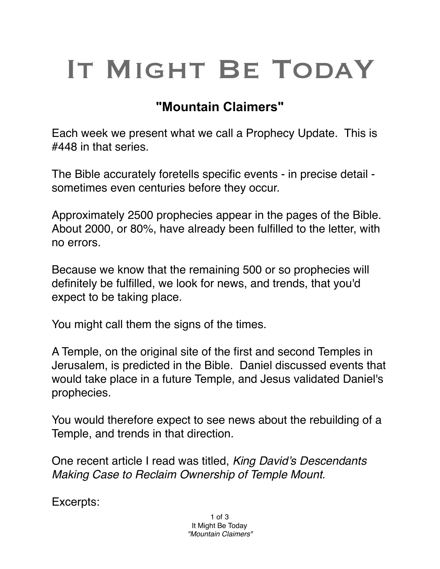## IT MIGHT BE TODAY

## **"Mountain Claimers"**

Each week we present what we call a Prophecy Update. This is #448 in that series.

The Bible accurately foretells specific events - in precise detail sometimes even centuries before they occur.

Approximately 2500 prophecies appear in the pages of the Bible. About 2000, or 80%, have already been fulfilled to the letter, with no errors.

Because we know that the remaining 500 or so prophecies will definitely be fulfilled, we look for news, and trends, that you'd expect to be taking place.

You might call them the signs of the times.

A Temple, on the original site of the first and second Temples in Jerusalem, is predicted in the Bible. Daniel discussed events that would take place in a future Temple, and Jesus validated Daniel's prophecies.

You would therefore expect to see news about the rebuilding of a Temple, and trends in that direction.

One recent article I read was titled, *King David's Descendants Making Case to Reclaim Ownership of Temple Mount.*

Excerpts: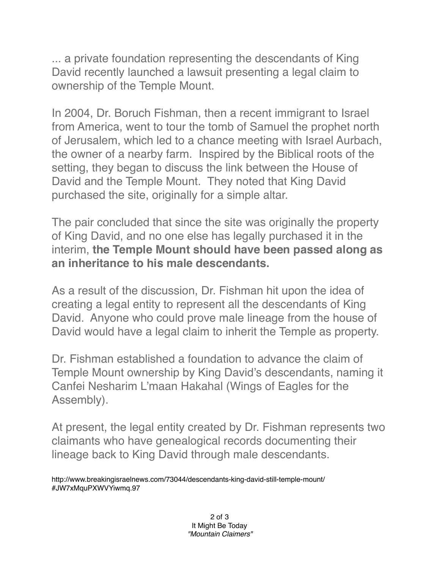... a private foundation representing the descendants of King David recently launched a lawsuit presenting a legal claim to ownership of the Temple Mount.

In 2004, Dr. Boruch Fishman, then a recent immigrant to Israel from America, went to tour the tomb of Samuel the prophet north of Jerusalem, which led to a chance meeting with Israel Aurbach, the owner of a nearby farm. Inspired by the Biblical roots of the setting, they began to discuss the link between the House of David and the Temple Mount. They noted that King David purchased the site, originally for a simple altar.

The pair concluded that since the site was originally the property of King David, and no one else has legally purchased it in the interim, **the Temple Mount should have been passed along as an inheritance to his male descendants.**

As a result of the discussion, Dr. Fishman hit upon the idea of creating a legal entity to represent all the descendants of King David. Anyone who could prove male lineage from the house of David would have a legal claim to inherit the Temple as property.

Dr. Fishman established a foundation to advance the claim of Temple Mount ownership by King David's descendants, naming it Canfei Nesharim L'maan Hakahal (Wings of Eagles for the Assembly).

At present, the legal entity created by Dr. Fishman represents two claimants who have genealogical records documenting their lineage back to King David through male descendants.

http://www.breakingisraelnews.com/73044/descendants-king-david-still-temple-mount/ #JW7xMquPXWVYiwmq.97